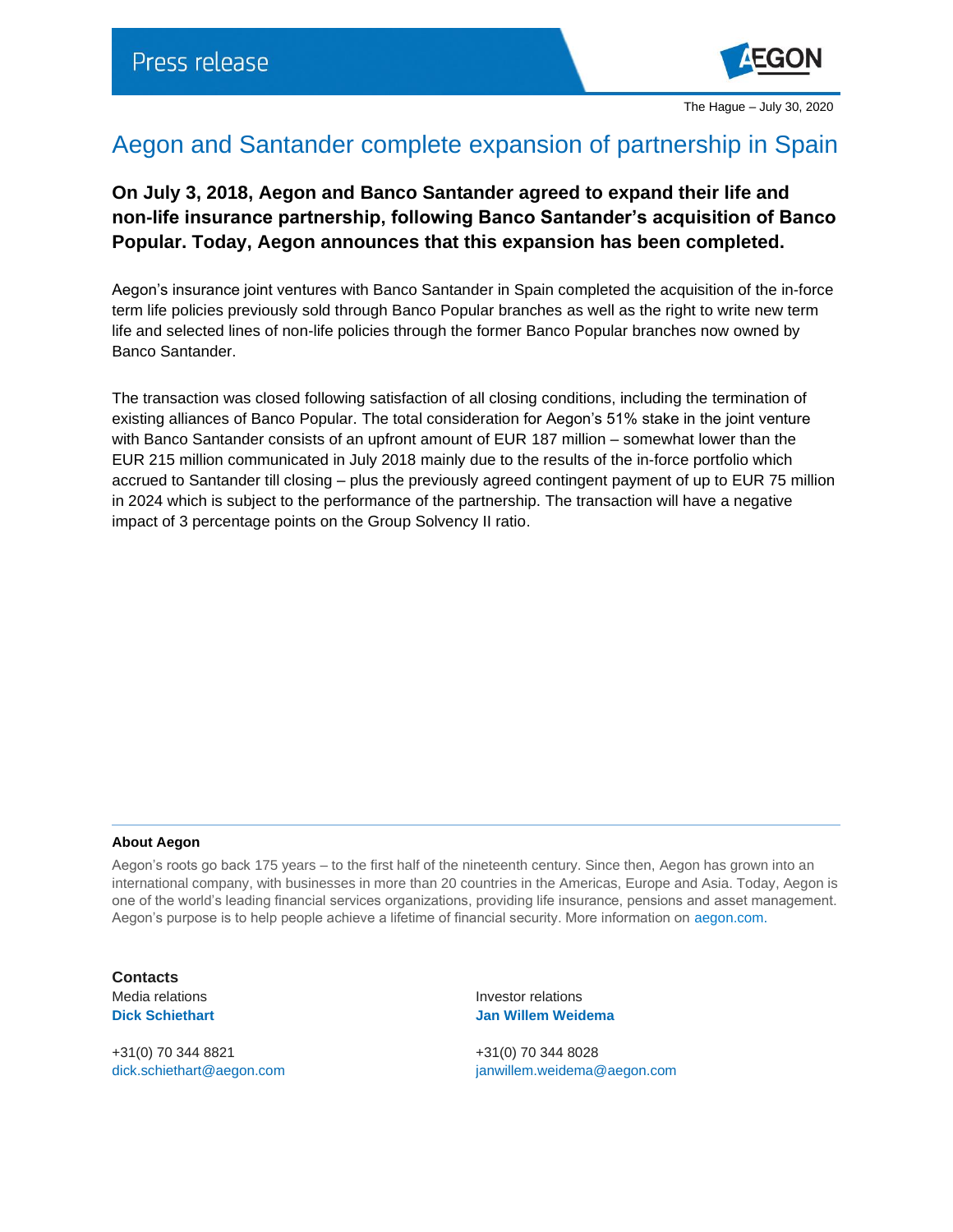

## Aegon and Santander complete expansion of partnership in Spain

**On July 3, 2018, Aegon and Banco Santander agreed to expand their life and non-life insurance partnership, following Banco Santander's acquisition of Banco Popular. Today, Aegon announces that this expansion has been completed.**

Aegon's insurance joint ventures with Banco Santander in Spain completed the acquisition of the in-force term life policies previously sold through Banco Popular branches as well as the right to write new term life and selected lines of non-life policies through the former Banco Popular branches now owned by Banco Santander.

The transaction was closed following satisfaction of all closing conditions, including the termination of existing alliances of Banco Popular. The total consideration for Aegon's 51% stake in the joint venture with Banco Santander consists of an upfront amount of EUR 187 million – somewhat lower than the EUR 215 million communicated in July 2018 mainly due to the results of the in-force portfolio which accrued to Santander till closing – plus the previously agreed contingent payment of up to EUR 75 million in 2024 which is subject to the performance of the partnership. The transaction will have a negative impact of 3 percentage points on the Group Solvency II ratio.

## **About Aegon**

Aegon's roots go back 175 years – to the first half of the nineteenth century. Since then, Aegon has grown into an international company, with businesses in more than 20 countries in the Americas, Europe and Asia. Today, Aegon is one of the world's leading financial services organizations, providing life insurance, pensions and asset management. Aegon's purpose is to help people achieve a lifetime of financial security. More information on [aegon.com.](http://www.aegon.com/about)

**Contacts**

+31(0) 70 344 8821 +31(0) 70 344 8028

Media relations **Investor relations Investor relations Dick Schiethart Jan Willem Weidema**

[dick.schiethart@aegon.com](mailto:dick.schiethart@aegon.com) [janwillem.weidema@aegon.com](mailto:janwillem.weidema@aegon.com)